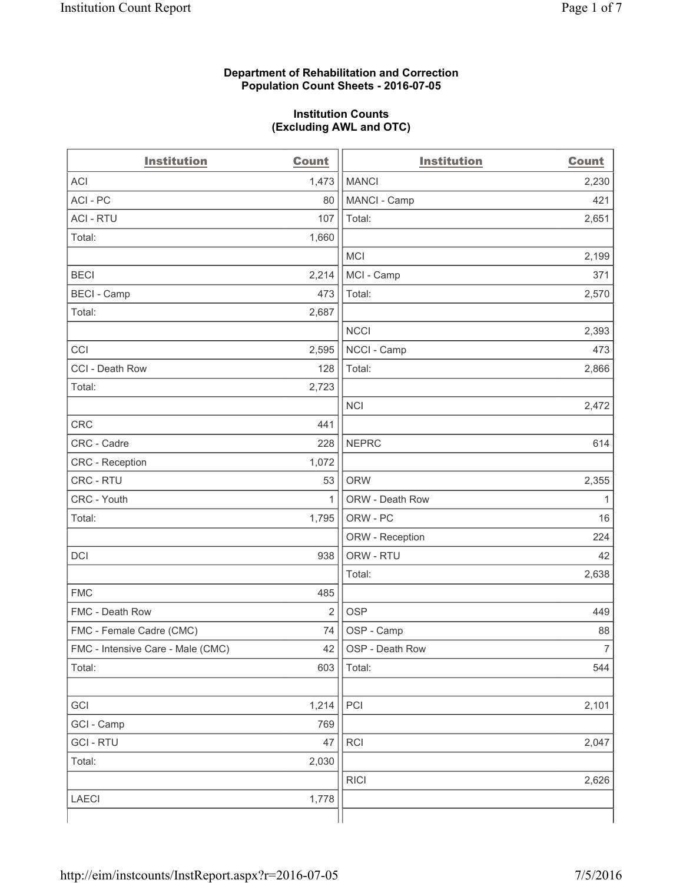# **Department of Rehabilitation and Correction Population Count Sheets - 2016-07-05**

# **Institution Counts (Excluding AWL and OTC)**

| <b>Institution</b>                | <b>Count</b>   | <b>Institution</b> | <b>Count</b>   |
|-----------------------------------|----------------|--------------------|----------------|
| <b>ACI</b>                        | 1,473          | <b>MANCI</b>       | 2,230          |
| ACI-PC                            | 80             | MANCI - Camp       | 421            |
| <b>ACI - RTU</b>                  | 107            | Total:             | 2,651          |
| Total:                            | 1,660          |                    |                |
|                                   |                | <b>MCI</b>         | 2,199          |
| <b>BECI</b>                       | 2,214          | MCI - Camp         | 371            |
| <b>BECI - Camp</b>                | 473            | Total:             | 2,570          |
| Total:                            | 2,687          |                    |                |
|                                   |                | <b>NCCI</b>        | 2,393          |
| CCI                               | 2,595          | NCCI - Camp        | 473            |
| CCI - Death Row                   | 128            | Total:             | 2,866          |
| Total:                            | 2,723          |                    |                |
|                                   |                | <b>NCI</b>         | 2,472          |
| <b>CRC</b>                        | 441            |                    |                |
| CRC - Cadre                       | 228            | <b>NEPRC</b>       | 614            |
| CRC - Reception                   | 1,072          |                    |                |
| CRC - RTU                         | 53             | <b>ORW</b>         | 2,355          |
| CRC - Youth                       | 1              | ORW - Death Row    | $\mathbf{1}$   |
| Total:                            | 1,795          | ORW - PC           | 16             |
|                                   |                | ORW - Reception    | 224            |
| DCI                               | 938            | ORW - RTU          | 42             |
|                                   |                | Total:             | 2,638          |
| <b>FMC</b>                        | 485            |                    |                |
| FMC - Death Row                   | $\overline{2}$ | <b>OSP</b>         | 449            |
| FMC - Female Cadre (CMC)          | 74             | OSP - Camp         | 88             |
| FMC - Intensive Care - Male (CMC) | 42             | OSP - Death Row    | $\overline{7}$ |
| Total:                            | 603            | Total:             | 544            |
|                                   |                |                    |                |
| GCI                               | 1,214          | PCI                | 2,101          |
| GCI - Camp                        | 769            |                    |                |
| <b>GCI-RTU</b>                    | 47             | RCI                | 2,047          |
| Total:                            | 2,030          |                    |                |
|                                   |                | <b>RICI</b>        | 2,626          |
| <b>LAECI</b>                      | 1,778          |                    |                |
|                                   |                |                    |                |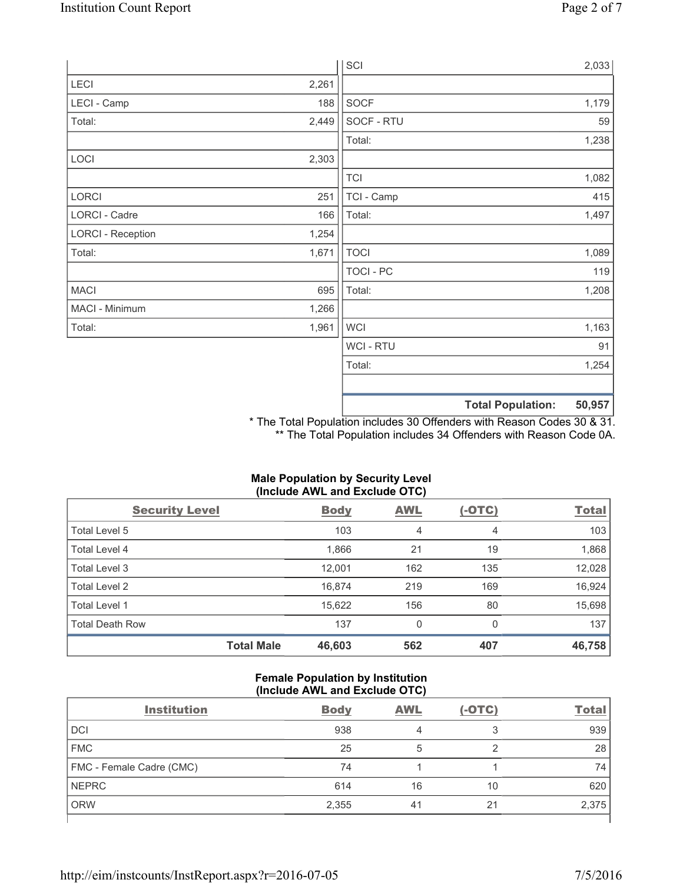|                          |       | SCI            |                          | 2,033  |
|--------------------------|-------|----------------|--------------------------|--------|
| LECI                     | 2,261 |                |                          |        |
| LECI - Camp              | 188   | SOCF           |                          | 1,179  |
| Total:                   | 2,449 | SOCF - RTU     |                          | 59     |
|                          |       | Total:         |                          | 1,238  |
| LOCI                     | 2,303 |                |                          |        |
|                          |       | <b>TCI</b>     |                          | 1,082  |
| LORCI                    | 251   | TCI - Camp     |                          | 415    |
| LORCI - Cadre            | 166   | Total:         |                          | 1,497  |
| <b>LORCI - Reception</b> | 1,254 |                |                          |        |
| Total:                   | 1,671 | <b>TOCI</b>    |                          | 1,089  |
|                          |       | TOCI - PC      |                          | 119    |
| <b>MACI</b>              | 695   | Total:         |                          | 1,208  |
| MACI - Minimum           | 1,266 |                |                          |        |
| Total:                   | 1,961 | <b>WCI</b>     |                          | 1,163  |
|                          |       | <b>WCI-RTU</b> |                          | 91     |
|                          |       | Total:         |                          | 1,254  |
|                          |       |                |                          |        |
|                          |       |                | <b>Total Population:</b> | 50,957 |

\* The Total Population includes 30 Offenders with Reason Codes 30 & 31. \*\* The Total Population includes 34 Offenders with Reason Code 0A.

# **Male Population by Security Level (Include AWL and Exclude OTC)**

| <b>Security Level</b>  |                   | <b>Body</b> | <b>AWL</b> | $(-OTC)$ | <b>Total</b> |
|------------------------|-------------------|-------------|------------|----------|--------------|
| Total Level 5          |                   | 103         | 4          | 4        | 103          |
| Total Level 4          |                   | 1,866       | 21         | 19       | 1,868        |
| Total Level 3          |                   | 12,001      | 162        | 135      | 12,028       |
| Total Level 2          |                   | 16,874      | 219        | 169      | 16,924       |
| Total Level 1          |                   | 15,622      | 156        | 80       | 15,698       |
| <b>Total Death Row</b> |                   | 137         | 0          | 0        | 137          |
|                        | <b>Total Male</b> | 46,603      | 562        | 407      | 46,758       |

# **Female Population by Institution (Include AWL and Exclude OTC)**

| <b>Institution</b>       | <b>Body</b> | <b>AWL</b> | $(-OTC)$ | <b>Total</b> |
|--------------------------|-------------|------------|----------|--------------|
| <b>DCI</b>               | 938         |            | っ        | 939          |
| <b>FMC</b>               | 25          | 5          |          | 28           |
| FMC - Female Cadre (CMC) | 74          |            |          | 74           |
| <b>NEPRC</b>             | 614         | 16         | 10       | 620          |
| <b>ORW</b>               | 2,355       | 41         | 21       | 2,375        |
|                          |             |            |          |              |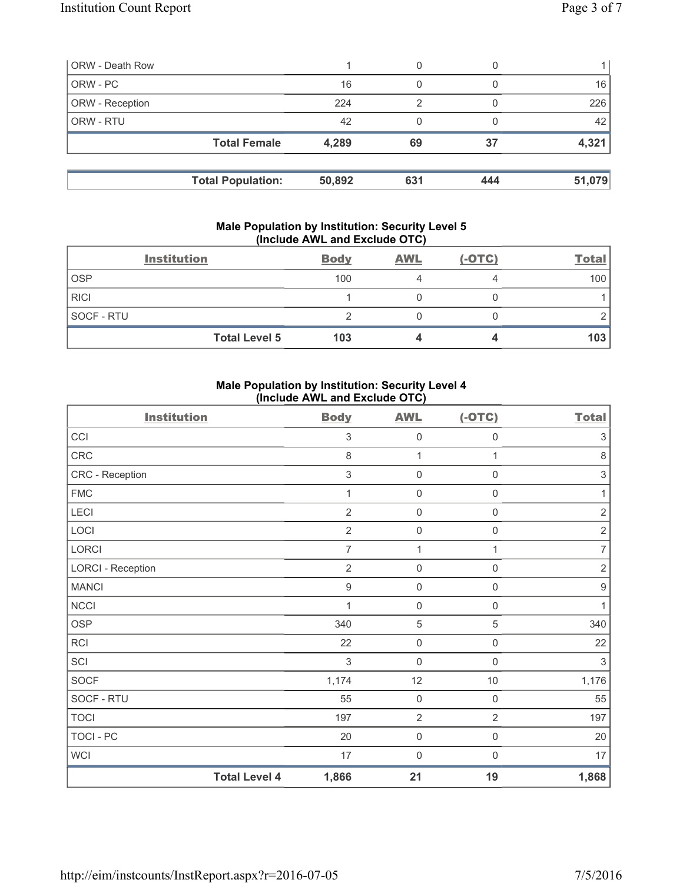| <b>ORW - Death Row</b> |                          |        | 0   |     |        |
|------------------------|--------------------------|--------|-----|-----|--------|
| ORW - PC               |                          | 16     | 0   |     | 16     |
| ORW - Reception        |                          | 224    | 2   |     | 226    |
| ORW - RTU              |                          | 42     |     |     | 42     |
|                        | <b>Total Female</b>      | 4,289  | 69  | 37  | 4,321  |
|                        |                          |        |     |     |        |
|                        | <b>Total Population:</b> | 50,892 | 631 | 444 | 51,079 |

# **Male Population by Institution: Security Level 5 (Include AWL and Exclude OTC)**

|             | <b>Institution</b>   | <b>Body</b> | <b>AWL</b> | $(-OTC)$ | <b>Total</b> |
|-------------|----------------------|-------------|------------|----------|--------------|
| <b>OSP</b>  |                      | 100         |            |          | 100          |
| <b>RICI</b> |                      |             |            |          |              |
| SOCF - RTU  |                      |             |            |          |              |
|             | <b>Total Level 5</b> | 103         |            |          | 103          |

# **Male Population by Institution: Security Level 4 (Include AWL and Exclude OTC)**

| <b>Institution</b>       |                      | <b>Body</b>               | <b>AWL</b>          | $(-OTC)$            | <b>Total</b>              |
|--------------------------|----------------------|---------------------------|---------------------|---------------------|---------------------------|
| CCI                      |                      | $\sqrt{3}$                | $\mathsf{O}\xspace$ | $\mathsf{O}\xspace$ | $\sqrt{3}$                |
| CRC                      |                      | 8                         | $\mathbf{1}$        | 1                   | $\,8\,$                   |
| CRC - Reception          |                      | $\ensuremath{\mathsf{3}}$ | $\mathbf 0$         | 0                   | $\ensuremath{\mathsf{3}}$ |
| <b>FMC</b>               |                      | 1                         | $\mathbf 0$         | $\mathsf 0$         | $\mathbf{1}$              |
| LECI                     |                      | $\overline{2}$            | $\mathsf{O}\xspace$ | $\mathsf{O}\xspace$ | $\sqrt{2}$                |
| LOCI                     |                      | $\overline{2}$            | $\mathsf{O}\xspace$ | 0                   | $\sqrt{2}$                |
| LORCI                    |                      | $\overline{7}$            | $\mathbf{1}$        | $\mathbf{1}$        | $\overline{7}$            |
| <b>LORCI - Reception</b> |                      | $\overline{2}$            | $\mathsf{O}\xspace$ | $\mathsf{O}\xspace$ | $\sqrt{2}$                |
| <b>MANCI</b>             |                      | $\boldsymbol{9}$          | $\mathbf 0$         | 0                   | $\boldsymbol{9}$          |
| <b>NCCI</b>              |                      | 1                         | $\mathbf 0$         | $\mathsf 0$         | $\mathbf{1}$              |
| <b>OSP</b>               |                      | 340                       | $\,$ 5 $\,$         | 5                   | 340                       |
| <b>RCI</b>               |                      | 22                        | $\mathsf{O}\xspace$ | 0                   | 22                        |
| SCI                      |                      | $\mathfrak{S}$            | $\mathbf 0$         | $\mathsf 0$         | 3                         |
| <b>SOCF</b>              |                      | 1,174                     | 12                  | $10$                | 1,176                     |
| SOCF - RTU               |                      | 55                        | $\mathsf{O}\xspace$ | $\mathsf{O}\xspace$ | 55                        |
| <b>TOCI</b>              |                      | 197                       | $\overline{2}$      | $\overline{2}$      | 197                       |
| <b>TOCI - PC</b>         |                      | 20                        | $\mathsf{O}\xspace$ | $\mathsf{O}\xspace$ | 20                        |
| <b>WCI</b>               |                      | 17                        | $\mathbf 0$         | $\mathbf{0}$        | 17                        |
|                          | <b>Total Level 4</b> | 1,866                     | 21                  | 19                  | 1,868                     |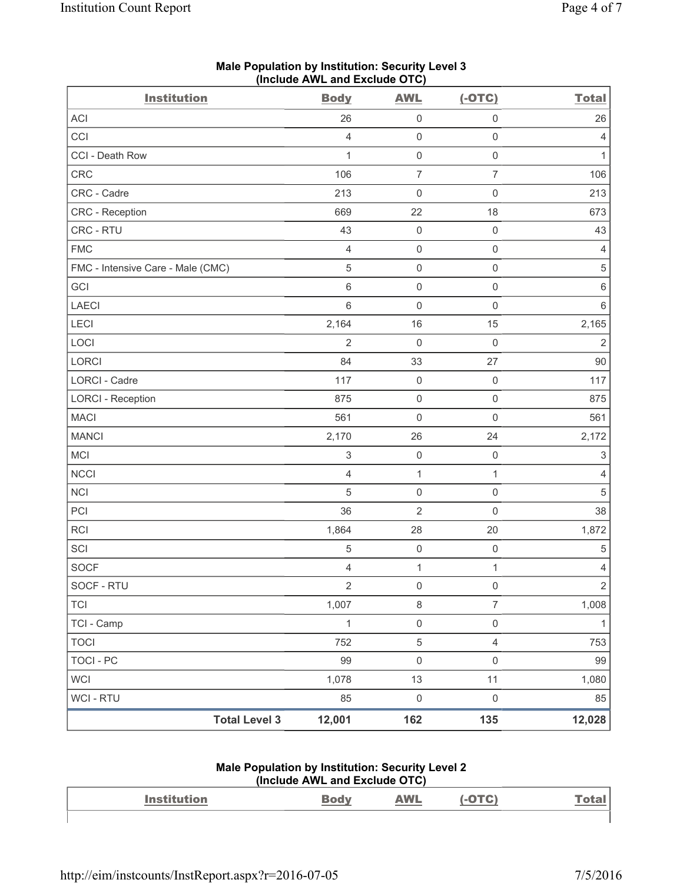| <b>Institution</b>                | $(1101000 \text{ A})$<br><b>Body</b> | <b>AWL</b>          | $(-OTC)$            | <b>Total</b>              |
|-----------------------------------|--------------------------------------|---------------------|---------------------|---------------------------|
| ACI                               | 26                                   | $\mathsf{O}\xspace$ | $\mathsf{O}\xspace$ | 26                        |
| CCI                               | $\overline{4}$                       | $\mathsf{O}\xspace$ | $\mathsf{O}\xspace$ | 4                         |
| CCI - Death Row                   | $\mathbf 1$                          | $\mathsf 0$         | $\mathsf 0$         | $\mathbf{1}$              |
| CRC                               | 106                                  | $\overline{7}$      | $\overline{7}$      | 106                       |
| CRC - Cadre                       | 213                                  | $\mathsf{O}\xspace$ | $\mathsf 0$         | 213                       |
| CRC - Reception                   | 669                                  | 22                  | 18                  | 673                       |
| CRC - RTU                         | 43                                   | $\mathsf{O}\xspace$ | $\mathsf{O}\xspace$ | 43                        |
| <b>FMC</b>                        | $\overline{4}$                       | $\mathsf{O}\xspace$ | $\mathsf 0$         | 4                         |
| FMC - Intensive Care - Male (CMC) | $\sqrt{5}$                           | $\mathsf{O}\xspace$ | $\mathsf{O}\xspace$ | $\,$ 5 $\,$               |
| GCI                               | 6                                    | $\mathsf 0$         | $\mathsf 0$         | $\,6\,$                   |
| <b>LAECI</b>                      | $\,6$                                | $\mathsf{O}\xspace$ | $\mathsf{O}\xspace$ | $\,6\,$                   |
| LECI                              | 2,164                                | 16                  | 15                  | 2,165                     |
| LOCI                              | $\overline{2}$                       | $\mathbf 0$         | $\mathsf{O}\xspace$ | $\overline{2}$            |
| LORCI                             | 84                                   | 33                  | 27                  | 90                        |
| LORCI - Cadre                     | 117                                  | $\mathsf{O}\xspace$ | $\mathbf 0$         | 117                       |
| <b>LORCI - Reception</b>          | 875                                  | $\mathsf{O}\xspace$ | $\mathsf{O}\xspace$ | 875                       |
| <b>MACI</b>                       | 561                                  | 0                   | $\mathsf 0$         | 561                       |
| <b>MANCI</b>                      | 2,170                                | 26                  | 24                  | 2,172                     |
| MCI                               | $\ensuremath{\mathsf{3}}$            | $\mathsf{O}\xspace$ | $\mathsf{O}\xspace$ | $\ensuremath{\mathsf{3}}$ |
| <b>NCCI</b>                       | $\overline{4}$                       | $\mathbf{1}$        | $\mathbf{1}$        | 4                         |
| NCI                               | $\sqrt{5}$                           | $\mathsf{O}\xspace$ | $\mathsf{O}\xspace$ | $\,$ 5 $\,$               |
| PCI                               | 36                                   | $\mathbf 2$         | $\mathsf 0$         | 38                        |
| RCI                               | 1,864                                | 28                  | 20                  | 1,872                     |
| SCI                               | $\sqrt{5}$                           | $\mathsf{O}\xspace$ | $\mathsf 0$         | $\,$ 5 $\,$               |
| <b>SOCF</b>                       | $\overline{4}$                       | $\mathbf{1}$        | $\mathbf{1}$        | 4                         |
| SOCF - RTU                        | $\overline{2}$                       | $\mathsf{O}\xspace$ | $\mathsf 0$         | $\overline{2}$            |
| <b>TCI</b>                        | 1,007                                | 8                   | $\overline{7}$      | 1,008                     |
| TCI - Camp                        | $\mathbf{1}$                         | $\mathsf{O}\xspace$ | $\mathsf{O}\xspace$ | $\mathbf{1}$              |
| <b>TOCI</b>                       | 752                                  | $\,$ 5 $\,$         | $\overline{4}$      | 753                       |
| <b>TOCI - PC</b>                  | 99                                   | $\mathsf 0$         | $\mathsf 0$         | 99                        |
| WCI                               | 1,078                                | 13                  | 11                  | 1,080                     |
| <b>WCI - RTU</b>                  | 85                                   | $\mathsf{O}\xspace$ | $\mathsf 0$         | 85                        |
| <b>Total Level 3</b>              | 12,001                               | 162                 | 135                 | 12,028                    |

# **Male Population by Institution: Security Level 3 (Include AWL and Exclude OTC)**

#### **Male Population by Institution: Security Level 2 (Include AWL and Exclude OTC)**

| <b>Institution</b> | <b>AWL</b> |  |
|--------------------|------------|--|
|                    |            |  |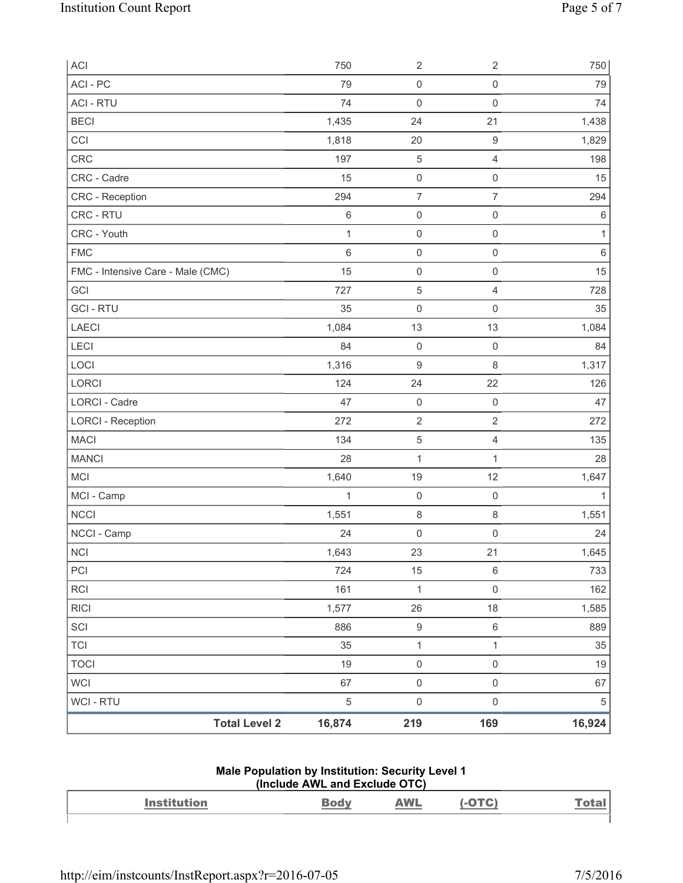| ACI                               | 750          | $\sqrt{2}$          | $\sqrt{2}$          | 750          |
|-----------------------------------|--------------|---------------------|---------------------|--------------|
| ACI-PC                            | 79           | $\mathsf{O}\xspace$ | $\mathsf 0$         | 79           |
| <b>ACI - RTU</b>                  | 74           | $\mathbf 0$         | $\mathsf 0$         | 74           |
| <b>BECI</b>                       | 1,435        | 24                  | 21                  | 1,438        |
| CCI                               | 1,818        | 20                  | $\boldsymbol{9}$    | 1,829        |
| CRC                               | 197          | $\sqrt{5}$          | $\overline{4}$      | 198          |
| CRC - Cadre                       | 15           | $\mathsf{O}\xspace$ | $\mathsf{O}\xspace$ | 15           |
| CRC - Reception                   | 294          | $\overline{7}$      | $\overline{7}$      | 294          |
| CRC - RTU                         | $\,6\,$      | $\mathsf{O}\xspace$ | $\mathsf{O}\xspace$ | $\,6\,$      |
| CRC - Youth                       | $\mathbf{1}$ | $\mathsf{O}\xspace$ | $\mathsf{O}\xspace$ | 1            |
| <b>FMC</b>                        | $\,6$        | $\mathsf{O}\xspace$ | $\mathsf{O}\xspace$ | $\,6\,$      |
| FMC - Intensive Care - Male (CMC) | 15           | $\mathsf{O}\xspace$ | $\mathsf{O}\xspace$ | 15           |
| GCI                               | 727          | $\sqrt{5}$          | $\overline{4}$      | 728          |
| <b>GCI-RTU</b>                    | 35           | $\mathbf 0$         | $\mathsf 0$         | 35           |
| <b>LAECI</b>                      | 1,084        | 13                  | 13                  | 1,084        |
| LECI                              | 84           | $\mathsf{O}\xspace$ | $\mathsf 0$         | 84           |
| LOCI                              | 1,316        | $\hbox{9}$          | $\,8\,$             | 1,317        |
| LORCI                             | 124          | 24                  | 22                  | 126          |
| LORCI - Cadre                     | 47           | $\mathsf{O}\xspace$ | $\mathsf{O}\xspace$ | 47           |
| <b>LORCI - Reception</b>          | 272          | $\sqrt{2}$          | $\mathbf 2$         | 272          |
| <b>MACI</b>                       | 134          | $\,$ 5 $\,$         | $\overline{4}$      | 135          |
| <b>MANCI</b>                      | 28           | $\mathbf 1$         | $\mathbf{1}$        | 28           |
| <b>MCI</b>                        | 1,640        | 19                  | 12                  | 1,647        |
| MCI - Camp                        | 1            | $\mathsf{O}\xspace$ | $\mathsf{O}\xspace$ | $\mathbf{1}$ |
| <b>NCCI</b>                       | 1,551        | 8                   | $\,8\,$             | 1,551        |
| NCCI - Camp                       | 24           | $\mathsf{O}\xspace$ | $\mathsf 0$         | 24           |
| $\sf NCI$                         | 1,643        | 23                  | 21                  | 1,645        |
| PCI                               | 724          | 15                  | $\,6\,$             | 733          |
| RCI                               | 161          | $\mathbf{1}$        | $\mathsf{O}\xspace$ | 162          |
| <b>RICI</b>                       | 1,577        | 26                  | 18                  | 1,585        |
| SCI                               | 886          | $\boldsymbol{9}$    | $\,6\,$             | 889          |
| <b>TCI</b>                        | 35           | $\mathbf{1}$        | $\mathbf{1}$        | 35           |
| <b>TOCI</b>                       | 19           | $\mathsf{O}\xspace$ | $\mathsf{O}\xspace$ | 19           |
| <b>WCI</b>                        | 67           | $\mathsf 0$         | $\mathsf{O}\xspace$ | 67           |
| WCI - RTU                         | $\sqrt{5}$   | $\mathsf 0$         | $\mathsf{O}\xspace$ | $\,$ 5 $\,$  |
| <b>Total Level 2</b>              | 16,874       | 219                 | 169                 | 16,924       |

#### **Male Population by Institution: Security Level 1 (Include AWL and Exclude OTC)**

| . . |  | $- - -$<br>______ |  |
|-----|--|-------------------|--|
|     |  |                   |  |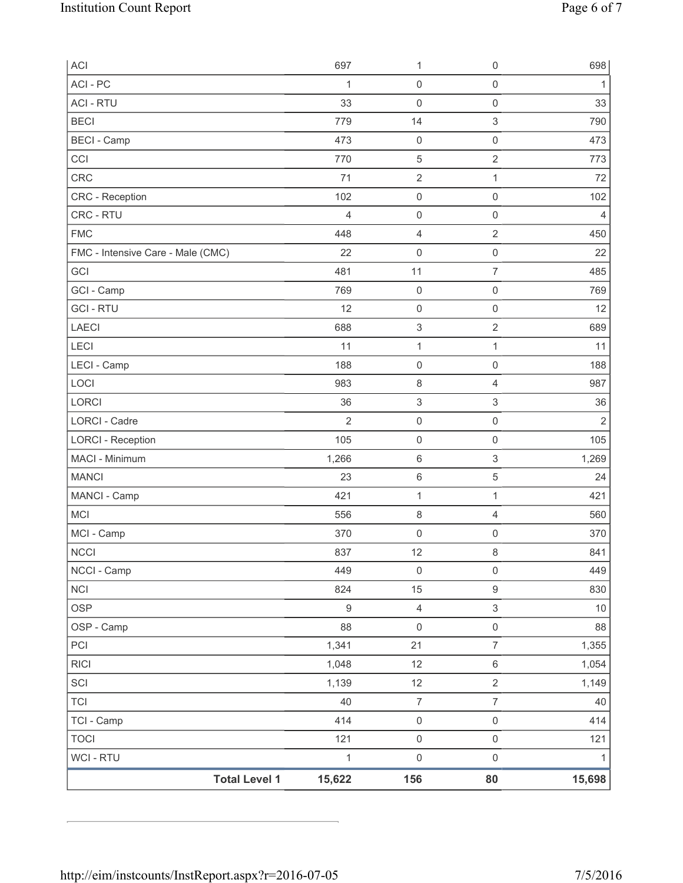| <b>Total Level 1</b>              | 15,622           | 156                       | 80                        | 15,698         |
|-----------------------------------|------------------|---------------------------|---------------------------|----------------|
| WCI - RTU                         | $\mathbf{1}$     | $\mathsf{O}\xspace$       | $\mathsf{O}\xspace$       | $\mathbf{1}$   |
| <b>TOCI</b>                       | 121              | $\mathsf{O}\xspace$       | $\mathsf{O}\xspace$       | 121            |
| TCI - Camp                        | 414              | $\mathsf{O}\xspace$       | $\mathsf 0$               | 414            |
| <b>TCI</b>                        | 40               | $\boldsymbol{7}$          | $\overline{7}$            | 40             |
| SCI                               | 1,139            | 12                        | $\overline{2}$            | 1,149          |
| <b>RICI</b>                       | 1,048            | 12                        | $\,6\,$                   | 1,054          |
| PCI                               | 1,341            | 21                        | $\overline{7}$            | 1,355          |
| OSP - Camp                        | 88               | $\mathsf 0$               | $\mathsf{O}\xspace$       | 88             |
| <b>OSP</b>                        | $\boldsymbol{9}$ | $\overline{4}$            | $\mathsf 3$               | $10$           |
| <b>NCI</b>                        | 824              | 15                        | $\mathsf g$               | 830            |
| NCCI - Camp                       | 449              | $\mathsf{O}\xspace$       | $\mathsf 0$               | 449            |
| <b>NCCI</b>                       | 837              | 12                        | $\,8\,$                   | 841            |
| MCI - Camp                        | 370              | $\mathbf 0$               | $\mathbf 0$               | 370            |
| <b>MCI</b>                        | 556              | 8                         | $\overline{4}$            | 560            |
| MANCI - Camp                      | 421              | $\mathbf{1}$              | $\mathbf{1}$              | 421            |
| <b>MANCI</b>                      | 23               | 6                         | 5                         | 24             |
| MACI - Minimum                    | 1,266            | 6                         | $\ensuremath{\mathsf{3}}$ | 1,269          |
| <b>LORCI - Reception</b>          | 105              | $\mathsf{O}\xspace$       | $\mathsf{O}\xspace$       | 105            |
| <b>LORCI - Cadre</b>              | $\overline{2}$   | $\mathsf{O}\xspace$       | $\mathsf 0$               | $\overline{2}$ |
| LORCI                             | 36               | $\ensuremath{\mathsf{3}}$ | 3                         | 36             |
| LOCI                              | 983              | 8                         | $\overline{4}$            | 987            |
| LECI - Camp                       | 188              | $\mathsf{O}\xspace$       | $\mathbf 0$               | 188            |
| LECI                              | 11               | $\mathbf 1$               | $\mathbf{1}$              | 11             |
| <b>LAECI</b>                      | 688              | 3                         | $\overline{2}$            | 689            |
| <b>GCI-RTU</b>                    | 12               | $\mathsf{O}\xspace$       | $\mathsf 0$               | 12             |
| GCI - Camp                        | 769              | $\mathsf{O}\xspace$       | $\mathsf{O}\xspace$       | 769            |
| GCI                               | 481              | 11                        | $\overline{7}$            | 485            |
| FMC - Intensive Care - Male (CMC) | 22               | $\mathsf{O}\xspace$       | $\mathsf 0$               | 22             |
| <b>FMC</b>                        | 448              | 4                         | $\sqrt{2}$                | 450            |
| CRC - RTU                         | $\overline{4}$   | 0                         | $\mathsf 0$               | $\overline{4}$ |
| CRC - Reception                   | 102              | $\mathsf 0$               | $\mathsf 0$               | 102            |
| CRC                               | 71               | $\overline{2}$            | $\mathbf{1}$              | 72             |
| CCI                               | 770              | $\mathbf 5$               | $\overline{2}$            | 773            |
| <b>BECI - Camp</b>                | 473              | $\mathsf{O}\xspace$       | $\mathsf{O}\xspace$       | 473            |
| <b>BECI</b>                       | 779              | 14                        | $\,$ 3 $\,$               | 790            |
| <b>ACI - RTU</b>                  | 33               | 0                         | $\mathsf 0$               | 33             |
| ACI-PC                            | 1                | $\mathsf{O}\xspace$       | $\mathsf 0$               | 1              |
| ACI                               | 697              | 1                         | $\mathsf 0$               | 698            |